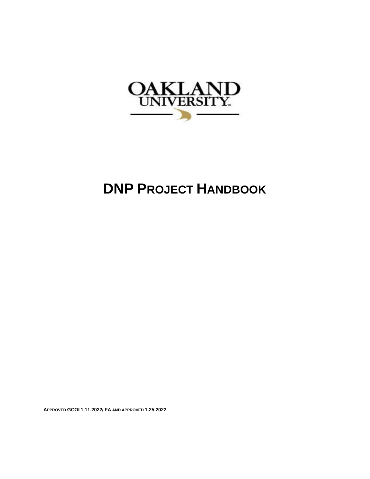

# **DNP PROJECT HANDBOOK**

**APPROVED GCOI 1.11.2022/ FA AND APPROVED 1.25.2022**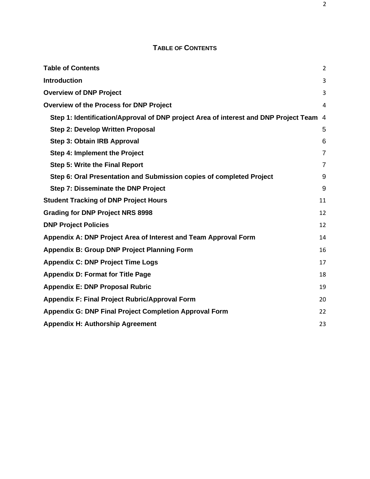## **TABLE OF CONTENTS**

<span id="page-1-0"></span>

| <b>Table of Contents</b>                                                               | $\overline{2}$ |
|----------------------------------------------------------------------------------------|----------------|
| <b>Introduction</b>                                                                    | 3              |
| <b>Overview of DNP Project</b>                                                         | 3              |
| <b>Overview of the Process for DNP Project</b>                                         | 4              |
| Step 1: Identification/Approval of DNP project Area of interest and DNP Project Team 4 |                |
| <b>Step 2: Develop Written Proposal</b>                                                | 5              |
| Step 3: Obtain IRB Approval                                                            | 6              |
| Step 4: Implement the Project                                                          | $\overline{7}$ |
| <b>Step 5: Write the Final Report</b>                                                  | $\overline{7}$ |
| Step 6: Oral Presentation and Submission copies of completed Project                   | 9              |
| Step 7: Disseminate the DNP Project                                                    | 9              |
| <b>Student Tracking of DNP Project Hours</b>                                           | 11             |
| <b>Grading for DNP Project NRS 8998</b>                                                | 12             |
| <b>DNP Project Policies</b>                                                            | 12             |
| Appendix A: DNP Project Area of Interest and Team Approval Form                        | 14             |
| <b>Appendix B: Group DNP Project Planning Form</b>                                     | 16             |
| <b>Appendix C: DNP Project Time Logs</b>                                               | 17             |
| <b>Appendix D: Format for Title Page</b>                                               | 18             |
| <b>Appendix E: DNP Proposal Rubric</b>                                                 | 19             |
| <b>Appendix F: Final Project Rubric/Approval Form</b>                                  | 20             |
| <b>Appendix G: DNP Final Project Completion Approval Form</b>                          | 22             |
| <b>Appendix H: Authorship Agreement</b>                                                | 23             |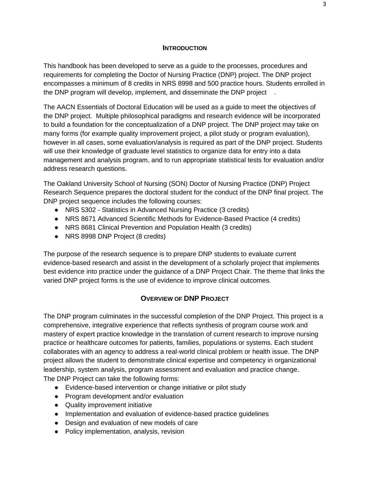#### **INTRODUCTION**

<span id="page-2-0"></span>This handbook has been developed to serve as a guide to the processes, procedures and requirements for completing the Doctor of Nursing Practice (DNP) project. The DNP project encompasses a minimum of 8 credits in NRS 8998 and 500 practice hours. Students enrolled in the DNP program will develop, implement, and disseminate the DNP project .

The AACN Essentials of Doctoral Education will be used as a guide to meet the objectives of the DNP project. Multiple philosophical paradigms and research evidence will be incorporated to build a foundation for the conceptualization of a DNP project. The DNP project may take on many forms (for example quality improvement project, a pilot study or program evaluation), however in all cases, some evaluation/analysis is required as part of the DNP project. Students will use their knowledge of graduate level statistics to organize data for entry into a data management and analysis program, and to run appropriate statistical tests for evaluation and/or address research questions.

The Oakland University School of Nursing (SON) Doctor of Nursing Practice (DNP) Project Research Sequence prepares the doctoral student for the conduct of the DNP final project. The DNP project sequence includes the following courses:

- NRS 5302 Statistics in Advanced Nursing Practice (3 credits)
- NRS 8671 Advanced Scientific Methods for Evidence-Based Practice (4 credits)
- NRS 8681 Clinical Prevention and Population Health (3 credits)
- NRS 8998 DNP Project (8 credits)

The purpose of the research sequence is to prepare DNP students to evaluate current evidence-based research and assist in the development of a scholarly project that implements best evidence into practice under the guidance of a DNP Project Chair. The theme that links the varied DNP project forms is the use of evidence to improve clinical outcomes.

## **OVERVIEW OF DNP PROJECT**

<span id="page-2-1"></span>The DNP program culminates in the successful completion of the DNP Project. This project is a comprehensive, integrative experience that reflects synthesis of program course work and mastery of expert practice knowledge in the translation of current research to improve nursing practice or healthcare outcomes for patients, families, populations or systems. Each student collaborates with an agency to address a real-world clinical problem or health issue. The DNP project allows the student to demonstrate clinical expertise and competency in organizational leadership, system analysis, program assessment and evaluation and practice change. The DNP Project can take the following forms:

- Evidence-based intervention or change initiative or pilot study
- Program development and/or evaluation
- Quality improvement initiative
- Implementation and evaluation of evidence-based practice guidelines
- Design and evaluation of new models of care
- Policy implementation, analysis, revision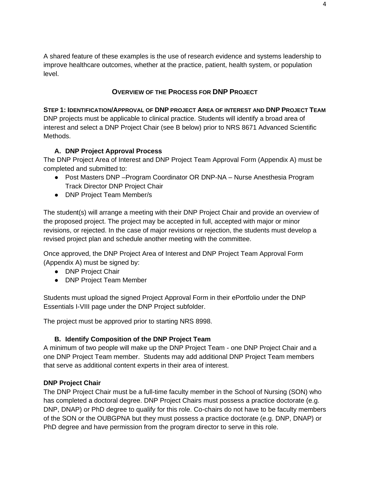A shared feature of these examples is the use of research evidence and systems leadership to improve healthcare outcomes, whether at the practice, patient, health system, or population level.

## **OVERVIEW OF THE PROCESS FOR DNP PROJECT**

<span id="page-3-1"></span><span id="page-3-0"></span>**STEP 1: IDENTIFICATION/APPROVAL OF DNP PROJECT AREA OF INTEREST AND DNP PROJECT TEAM** DNP projects must be applicable to clinical practice. Students will identify a broad area of interest and select a DNP Project Chair (see B below) prior to NRS 8671 Advanced Scientific Methods.

## **A. DNP Project Approval Process**

The DNP Project Area of Interest and DNP Project Team Approval Form (Appendix A) must be completed and submitted to:

- Post Masters DNP Program Coordinator OR DNP-NA Nurse Anesthesia Program Track Director DNP Project Chair
- DNP Project Team Member/s

The student(s) will arrange a meeting with their DNP Project Chair and provide an overview of the proposed project. The project may be accepted in full, accepted with major or minor revisions, or rejected. In the case of major revisions or rejection, the students must develop a revised project plan and schedule another meeting with the committee.

Once approved, the DNP Project Area of Interest and DNP Project Team Approval Form (Appendix A) must be signed by:

- DNP Project Chair
- DNP Project Team Member

Students must upload the signed Project Approval Form in their ePortfolio under the DNP Essentials I-VIII page under the DNP Project subfolder.

The project must be approved prior to starting NRS 8998.

## **B. Identify Composition of the DNP Project Team**

A minimum of two people will make up the DNP Project Team - one DNP Project Chair and a one DNP Project Team member. Students may add additional DNP Project Team members that serve as additional content experts in their area of interest.

## **DNP Project Chair**

The DNP Project Chair must be a full-time faculty member in the School of Nursing (SON) who has completed a doctoral degree. DNP Project Chairs must possess a practice doctorate (e.g. DNP, DNAP) or PhD degree to qualify for this role. Co-chairs do not have to be faculty members of the SON or the OUBGPNA but they must possess a practice doctorate (e.g. DNP, DNAP) or PhD degree and have permission from the program director to serve in this role.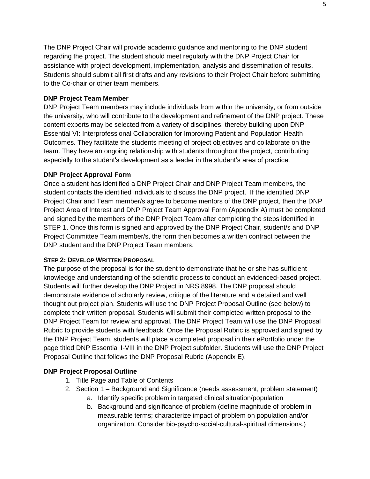The DNP Project Chair will provide academic guidance and mentoring to the DNP student regarding the project. The student should meet regularly with the DNP Project Chair for assistance with project development, implementation, analysis and dissemination of results. Students should submit all first drafts and any revisions to their Project Chair before submitting to the Co-chair or other team members.

#### **DNP Project Team Member**

DNP Project Team members may include individuals from within the university, or from outside the university, who will contribute to the development and refinement of the DNP project. These content experts may be selected from a variety of disciplines, thereby building upon DNP Essential VI: Interprofessional Collaboration for Improving Patient and Population Health Outcomes. They facilitate the students meeting of project objectives and collaborate on the team. They have an ongoing relationship with students throughout the project, contributing especially to the student's development as a leader in the student's area of practice.

#### **DNP Project Approval Form**

Once a student has identified a DNP Project Chair and DNP Project Team member/s, the student contacts the identified individuals to discuss the DNP project. If the identified DNP Project Chair and Team member/s agree to become mentors of the DNP project, then the DNP Project Area of Interest and DNP Project Team Approval Form (Appendix A) must be completed and signed by the members of the DNP Project Team after completing the steps identified in STEP 1. Once this form is signed and approved by the DNP Project Chair, student/s and DNP Project Committee Team member/s, the form then becomes a written contract between the DNP student and the DNP Project Team members.

#### <span id="page-4-0"></span>**STEP 2: DEVELOP WRITTEN PROPOSAL**

The purpose of the proposal is for the student to demonstrate that he or she has sufficient knowledge and understanding of the scientific process to conduct an evidenced-based project. Students will further develop the DNP Project in NRS 8998. The DNP proposal should demonstrate evidence of scholarly review, critique of the literature and a detailed and well thought out project plan. Students will use the DNP Project Proposal Outline (see below) to complete their written proposal. Students will submit their completed written proposal to the DNP Project Team for review and approval. The DNP Project Team will use the DNP Proposal Rubric to provide students with feedback. Once the Proposal Rubric is approved and signed by the DNP Project Team, students will place a completed proposal in their ePortfolio under the page titled DNP Essential I-VIII in the DNP Project subfolder. Students will use the DNP Project Proposal Outline that follows the DNP Proposal Rubric (Appendix E).

## **DNP Project Proposal Outline**

- 1. Title Page and Table of Contents
- 2. Section 1 Background and Significance (needs assessment, problem statement) a. Identify specific problem in targeted clinical situation/population
	- b. Background and significance of problem (define magnitude of problem in measurable terms; characterize impact of problem on population and/or organization. Consider bio-psycho-social-cultural-spiritual dimensions.)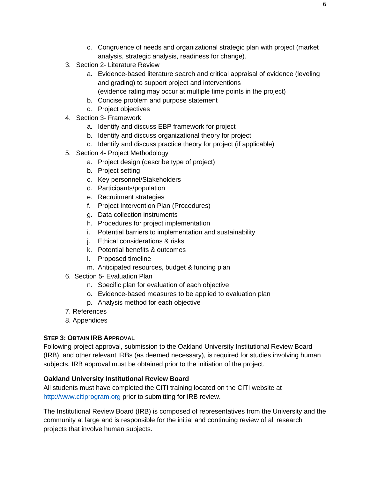- c. Congruence of needs and organizational strategic plan with project (market analysis, strategic analysis, readiness for change).
- 3. Section 2- Literature Review
	- a. Evidence-based literature search and critical appraisal of evidence (leveling and grading) to support project and interventions (evidence rating may occur at multiple time points in the project)
	- b. Concise problem and purpose statement
	- c. Project objectives
- 4. Section 3- Framework
	- a. Identify and discuss EBP framework for project
	- b. Identify and discuss organizational theory for project
	- c. Identify and discuss practice theory for project (if applicable)
- 5. Section 4- Project Methodology
	- a. Project design (describe type of project)
	- b. Project setting
	- c. Key personnel/Stakeholders
	- d. Participants/population
	- e. Recruitment strategies
	- f. Project Intervention Plan (Procedures)
	- g. Data collection instruments
	- h. Procedures for project implementation
	- i. Potential barriers to implementation and sustainability
	- j. Ethical considerations & risks
	- k. Potential benefits & outcomes
	- l. Proposed timeline
	- m. Anticipated resources, budget & funding plan
- 6. Section 5- Evaluation Plan
	- n. Specific plan for evaluation of each objective
	- o. Evidence-based measures to be applied to evaluation plan
	- p. Analysis method for each objective
- 7. References
- 8. Appendices

## <span id="page-5-0"></span>**STEP 3: OBTAIN IRB APPROVAL**

Following project approval, submission to the Oakland University Institutional Review Board (IRB), and other relevant IRBs (as deemed necessary), is required for studies involving human subjects. IRB approval must be obtained prior to the initiation of the project.

## **Oakland University Institutional Review Board**

All students must have completed the CITI training located on the CITI website at [http://www.citiprogram.org](http://www.citiprogram.org/) prior to submitting for IRB review.

The Institutional Review Board (IRB) is composed of representatives from the University and the community at large and is responsible for the initial and continuing review of all research projects that involve human subjects.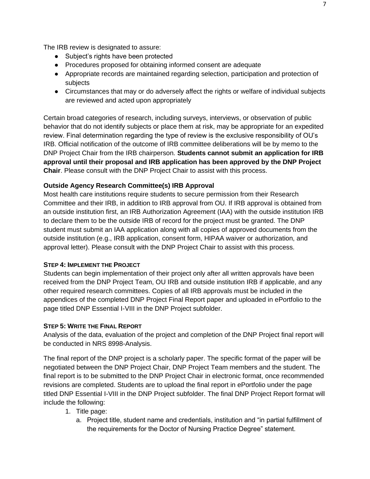The IRB review is designated to assure:

- Subject's rights have been protected
- Procedures proposed for obtaining informed consent are adequate
- Appropriate records are maintained regarding selection, participation and protection of subjects
- Circumstances that may or do adversely affect the rights or welfare of individual subjects are reviewed and acted upon appropriately

Certain broad categories of research, including surveys, interviews, or observation of public behavior that do not identify subjects or place them at risk, may be appropriate for an expedited review. Final determination regarding the type of review is the exclusive responsibility of OU's IRB. Official notification of the outcome of IRB committee deliberations will be by memo to the DNP Project Chair from the IRB chairperson. **Students cannot submit an application for IRB approval until their proposal and IRB application has been approved by the DNP Project Chair**. Please consult with the DNP Project Chair to assist with this process.

#### **Outside Agency Research Committee(s) IRB Approval**

Most health care institutions require students to secure permission from their Research Committee and their IRB, in addition to IRB approval from OU. If IRB approval is obtained from an outside institution first, an IRB Authorization Agreement (IAA) with the outside institution IRB to declare them to be the outside IRB of record for the project must be granted. The DNP student must submit an IAA application along with all copies of approved documents from the outside institution (e.g., IRB application, consent form, HIPAA waiver or authorization, and approval letter). Please consult with the DNP Project Chair to assist with this process.

#### <span id="page-6-0"></span>**STEP 4: IMPLEMENT THE PROJECT**

Students can begin implementation of their project only after all written approvals have been received from the DNP Project Team, OU IRB and outside institution IRB if applicable, and any other required research committees. Copies of all IRB approvals must be included in the appendices of the completed DNP Project Final Report paper and uploaded in ePortfolio to the page titled DNP Essential I-VIII in the DNP Project subfolder.

#### <span id="page-6-1"></span>**STEP 5: WRITE THE FINAL REPORT**

Analysis of the data, evaluation of the project and completion of the DNP Project final report will be conducted in NRS 8998-Analysis.

The final report of the DNP project is a scholarly paper. The specific format of the paper will be negotiated between the DNP Project Chair, DNP Project Team members and the student. The final report is to be submitted to the DNP Project Chair in electronic format, once recommended revisions are completed. Students are to upload the final report in ePortfolio under the page titled DNP Essential I-VIII in the DNP Project subfolder. The final DNP Project Report format will include the following:

- 1. Title page:
	- a. Project title, student name and credentials, institution and "in partial fulfillment of the requirements for the Doctor of Nursing Practice Degree" statement.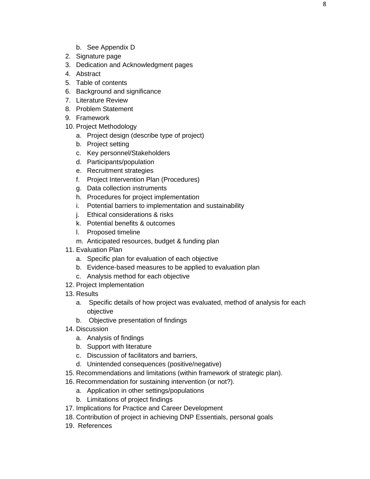- b. See Appendix D
- 2. Signature page
- 3. Dedication and Acknowledgment pages
- 4. Abstract
- 5. Table of contents
- 6. Background and significance
- 7. Literature Review
- 8. Problem Statement
- 9. Framework
- 10. Project Methodology
	- a. Project design (describe type of project)
	- b. Project setting
	- c. Key personnel/Stakeholders
	- d. Participants/population
	- e. Recruitment strategies
	- f. Project Intervention Plan (Procedures)
	- g. Data collection instruments
	- h. Procedures for project implementation
	- i. Potential barriers to implementation and sustainability
	- j. Ethical considerations & risks
	- k. Potential benefits & outcomes
	- l. Proposed timeline
	- m. Anticipated resources, budget & funding plan
- 11. Evaluation Plan
	- a. Specific plan for evaluation of each objective
	- b. Evidence-based measures to be applied to evaluation plan
	- c. Analysis method for each objective
- 12. Project Implementation
- 13. Results
	- a. Specific details of how project was evaluated, method of analysis for each objective
	- b. Objective presentation of findings
- 14. Discussion
	- a. Analysis of findings
	- b. Support with literature
	- c. Discussion of facilitators and barriers,
	- d. Unintended consequences (positive/negative)
- 15. Recommendations and limitations (within framework of strategic plan).
- 16. Recommendation for sustaining intervention (or not?).
	- a. Application in other settings/populations
	- b. Limitations of project findings
- 17. Implications for Practice and Career Development
- 18. Contribution of project in achieving DNP Essentials, personal goals
- 19. References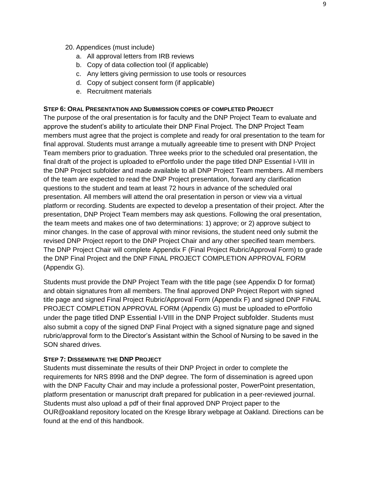- 20. Appendices (must include)
	- a. All approval letters from IRB reviews
	- b. Copy of data collection tool (if applicable)
	- c. Any letters giving permission to use tools or resources
	- d. Copy of subject consent form (if applicable)
	- e. Recruitment materials

#### <span id="page-8-0"></span>**STEP 6: ORAL PRESENTATION AND SUBMISSION COPIES OF COMPLETED PROJECT**

The purpose of the oral presentation is for faculty and the DNP Project Team to evaluate and approve the student's ability to articulate their DNP Final Project. The DNP Project Team members must agree that the project is complete and ready for oral presentation to the team for final approval. Students must arrange a mutually agreeable time to present with DNP Project Team members prior to graduation. Three weeks prior to the scheduled oral presentation, the final draft of the project is uploaded to ePortfolio under the page titled DNP Essential I-VIII in the DNP Project subfolder and made available to all DNP Project Team members. All members of the team are expected to read the DNP Project presentation, forward any clarification questions to the student and team at least 72 hours in advance of the scheduled oral presentation. All members will attend the oral presentation in person or view via a virtual platform or recording. Students are expected to develop a presentation of their project. After the presentation, DNP Project Team members may ask questions. Following the oral presentation, the team meets and makes one of two determinations: 1) approve; or 2) approve subject to minor changes. In the case of approval with minor revisions, the student need only submit the revised DNP Project report to the DNP Project Chair and any other specified team members. The DNP Project Chair will complete Appendix F (Final Project Rubric/Approval Form) to grade the DNP Final Project and the DNP FINAL PROJECT COMPLETION APPROVAL FORM (Appendix G).

Students must provide the DNP Project Team with the title page (see Appendix D for format) and obtain signatures from all members. The final approved DNP Project Report with signed title page and signed Final Project Rubric/Approval Form (Appendix F) and signed DNP FINAL PROJECT COMPLETION APPROVAL FORM (Appendix G) must be uploaded to ePortfolio under the page titled DNP Essential I-VIII in the DNP Project subfolder. Students must also submit a copy of the signed DNP Final Project with a signed signature page and signed rubric/approval form to the Director's Assistant within the School of Nursing to be saved in the SON shared drives.

#### <span id="page-8-1"></span>**STEP 7: DISSEMINATE THE DNP PROJECT**

Students must disseminate the results of their DNP Project in order to complete the requirements for NRS 8998 and the DNP degree. The form of dissemination is agreed upon with the DNP Faculty Chair and may include a professional poster, PowerPoint presentation, platform presentation or manuscript draft prepared for publication in a peer-reviewed journal. Students must also upload a pdf of their final approved DNP Project paper to the OUR@oakland repository located on the Kresge library webpage at Oakland. Directions can be found at the end of this handbook.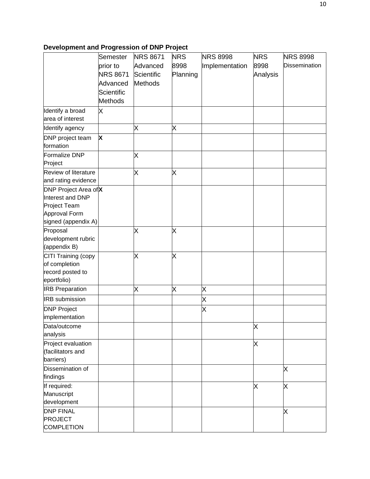# **Development and Progression of DNP Project**

|                                             | Semester        | <b>NRS 8671</b> | <b>NRS</b> | <b>NRS 8998</b> | <b>NRS</b> | <b>NRS 8998</b>      |
|---------------------------------------------|-----------------|-----------------|------------|-----------------|------------|----------------------|
|                                             | prior to        | Advanced        | 8998       | Implementation  | 8998       | <b>Dissemination</b> |
|                                             | <b>NRS 8671</b> | Scientific      | Planning   |                 | Analysis   |                      |
|                                             | Advanced        | <b>Methods</b>  |            |                 |            |                      |
|                                             | Scientific      |                 |            |                 |            |                      |
|                                             | <b>Methods</b>  |                 |            |                 |            |                      |
| Identify a broad                            | Χ               |                 |            |                 |            |                      |
| area of interest                            |                 |                 |            |                 |            |                      |
|                                             |                 |                 |            |                 |            |                      |
| Identify agency                             |                 | X               | X          |                 |            |                      |
| DNP project team<br>formation               | X               |                 |            |                 |            |                      |
| Formalize DNP                               |                 | Χ               |            |                 |            |                      |
| Project                                     |                 |                 |            |                 |            |                      |
| Review of literature<br>and rating evidence |                 | Χ               | X          |                 |            |                      |
| DNP Project Area ofX                        |                 |                 |            |                 |            |                      |
| Interest and DNP                            |                 |                 |            |                 |            |                      |
| Project Team                                |                 |                 |            |                 |            |                      |
| Approval Form                               |                 |                 |            |                 |            |                      |
| signed (appendix A)                         |                 |                 |            |                 |            |                      |
| Proposal                                    |                 | Χ               | X          |                 |            |                      |
| development rubric                          |                 |                 |            |                 |            |                      |
| (appendix B)                                |                 |                 |            |                 |            |                      |
| CITI Training (copy                         |                 | X               | X          |                 |            |                      |
| of completion                               |                 |                 |            |                 |            |                      |
| record posted to                            |                 |                 |            |                 |            |                      |
| eportfolio)                                 |                 |                 |            |                 |            |                      |
| <b>IRB Preparation</b>                      |                 | X               | X          | Χ               |            |                      |
| <b>IRB</b> submission                       |                 |                 |            | X               |            |                      |
| <b>DNP Project</b>                          |                 |                 |            | X               |            |                      |
| implementation                              |                 |                 |            |                 |            |                      |
| Data/outcome                                |                 |                 |            |                 | Χ          |                      |
| analysis                                    |                 |                 |            |                 |            |                      |
| Project evaluation                          |                 |                 |            |                 | Χ          |                      |
| (facilitators and                           |                 |                 |            |                 |            |                      |
| barriers)                                   |                 |                 |            |                 |            |                      |
| Dissemination of                            |                 |                 |            |                 |            | Χ                    |
| findings                                    |                 |                 |            |                 |            |                      |
| If required:                                |                 |                 |            |                 | X          | Χ                    |
| Manuscript                                  |                 |                 |            |                 |            |                      |
| development                                 |                 |                 |            |                 |            |                      |
| <b>DNP FINAL</b>                            |                 |                 |            |                 |            | Χ                    |
| <b>PROJECT</b>                              |                 |                 |            |                 |            |                      |
| <b>COMPLETION</b>                           |                 |                 |            |                 |            |                      |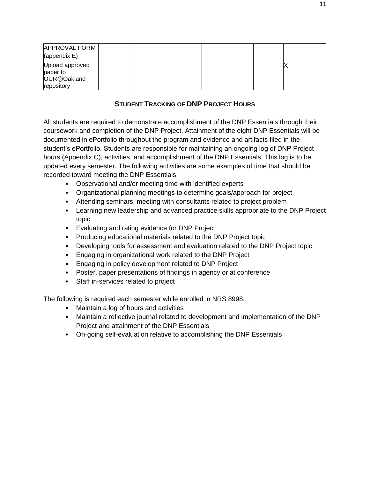| <b>APPROVAL FORM</b>   |  |  |  |
|------------------------|--|--|--|
| $\langle$ (appendix E) |  |  |  |
| Upload approved        |  |  |  |
| paper to               |  |  |  |
| OUR@Oakland            |  |  |  |
| repository             |  |  |  |

## **STUDENT TRACKING OF DNP PROJECT HOURS**

<span id="page-10-0"></span>All students are required to demonstrate accomplishment of the DNP Essentials through their coursework and completion of the DNP Project. Attainment of the eight DNP Essentials will be documented in ePortfolio throughout the program and evidence and artifacts filed in the student's ePortfolio. Students are responsible for maintaining an ongoing log of DNP Project hours (Appendix C), activities, and accomplishment of the DNP Essentials. This log is to be updated every semester. The following activities are some examples of time that should be recorded toward meeting the DNP Essentials:

- Observational and/or meeting time with identified experts
- Organizational planning meetings to determine goals/approach for project
- Attending seminars, meeting with consultants related to project problem
- Learning new leadership and advanced practice skills appropriate to the DNP Project topic
- Evaluating and rating evidence for DNP Project
- Producing educational materials related to the DNP Project topic
- Developing tools for assessment and evaluation related to the DNP Project topic
- Engaging in organizational work related to the DNP Project
- Engaging in policy development related to DNP Project
- Poster, paper presentations of findings in agency or at conference
- Staff in-services related to project

The following is required each semester while enrolled in NRS 8998:

- Maintain a log of hours and activities
- Maintain a reflective journal related to development and implementation of the DNP Project and attainment of the DNP Essentials
- On-going self-evaluation relative to accomplishing the DNP Essentials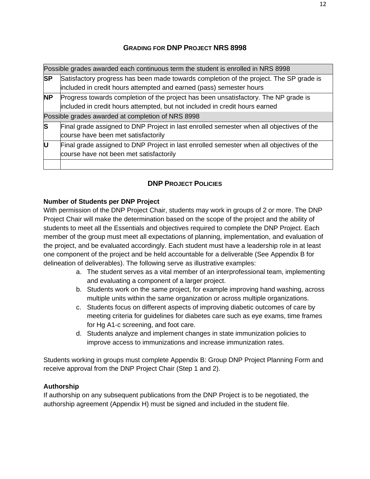## **GRADING FOR DNP PROJECT NRS 8998**

<span id="page-11-0"></span>

|           | Possible grades awarded each continuous term the student is enrolled in NRS 8998                                                                                   |
|-----------|--------------------------------------------------------------------------------------------------------------------------------------------------------------------|
| <b>SP</b> | Satisfactory progress has been made towards completion of the project. The SP grade is<br>included in credit hours attempted and earned (pass) semester hours      |
| <b>NP</b> | Progress towards completion of the project has been unsatisfactory. The NP grade is<br>included in credit hours attempted, but not included in credit hours earned |
|           | Possible grades awarded at completion of NRS 8998                                                                                                                  |
| S         | Final grade assigned to DNP Project in last enrolled semester when all objectives of the<br>course have been met satisfactorily                                    |
| U         | Final grade assigned to DNP Project in last enrolled semester when all objectives of the<br>course have not been met satisfactorily                                |
|           |                                                                                                                                                                    |

# **DNP PROJECT POLICIES**

## <span id="page-11-1"></span>**Number of Students per DNP Project**

With permission of the DNP Project Chair, students may work in groups of 2 or more. The DNP Project Chair will make the determination based on the scope of the project and the ability of students to meet all the Essentials and objectives required to complete the DNP Project. Each member of the group must meet all expectations of planning, implementation, and evaluation of the project, and be evaluated accordingly. Each student must have a leadership role in at least one component of the project and be held accountable for a deliverable (See Appendix B for delineation of deliverables). The following serve as illustrative examples:

- a. The student serves as a vital member of an interprofessional team, implementing and evaluating a component of a larger project.
- b. Students work on the same project, for example improving hand washing, across multiple units within the same organization or across multiple organizations.
- c. Students focus on different aspects of improving diabetic outcomes of care by meeting criteria for guidelines for diabetes care such as eye exams, time frames for Hg A1-c screening, and foot care.
- d. Students analyze and implement changes in state immunization policies to improve access to immunizations and increase immunization rates.

Students working in groups must complete Appendix B: Group DNP Project Planning Form and receive approval from the DNP Project Chair (Step 1 and 2).

## **Authorship**

If authorship on any subsequent publications from the DNP Project is to be negotiated, the authorship agreement (Appendix H) must be signed and included in the student file.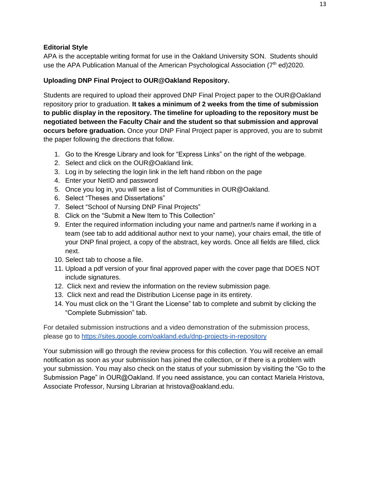#### **Editorial Style**

APA is the acceptable writing format for use in the Oakland University SON. Students should use the APA Publication Manual of the American Psychological Association  $(7<sup>th</sup>$  ed)2020.

#### **Uploading DNP Final Project to OUR@Oakland Repository.**

Students are required to upload their approved DNP Final Project paper to the OUR@Oakland repository prior to graduation. **It takes a minimum of 2 weeks from the time of submission to public display in the repository. The timeline for uploading to the repository must be negotiated between the Faculty Chair and the student so that submission and approval occurs before graduation.** Once your DNP Final Project paper is approved, you are to submit the paper following the directions that follow.

- 1. Go to the Kresge Library and look for "Express Links" on the right of the webpage.
- 2. Select and click on the OUR@Oakland link.
- 3. Log in by selecting the login link in the left hand ribbon on the page
- 4. Enter your NetID and password
- 5. Once you log in, you will see a list of Communities in OUR@Oakland.
- 6. Select "Theses and Dissertations"
- 7. Select ["School of Nursing DNP Final Projects"](https://our.oakland.edu/handle/10323/11352)
- 8. Click on the "Submit a New Item to This Collection"
- 9. Enter the required information including your name and partner/s name if working in a team (see tab to add additional author next to your name), your chairs email, the title of your DNP final project, a copy of the abstract, key words. Once all fields are filled, click next.
- 10. Select tab to choose a file.
- 11. Upload a pdf version of your final approved paper with the cover page that DOES NOT include signatures.
- 12. Click next and review the information on the review submission page.
- 13. Click next and read the Distribution License page in its entirety.
- 14. You must click on the "I Grant the License" tab to complete and submit by clicking the "Complete Submission" tab.

For detailed submission instructions and a video demonstration of the submission process, please go to<https://sites.google.com/oakland.edu/dnp-projects-in-repository>

Your submission will go through the review process for this collection. You will receive an email notification as soon as your submission has joined the collection, or if there is a problem with your submission. You may also check on the status of your submission by visiting the "Go to the Submission Page" in OUR@Oakland. If you need assistance, you can contact Mariela Hristova, Associate Professor, Nursing Librarian at [hristova@oakland.edu.](mailto:hristova@oakland.edu)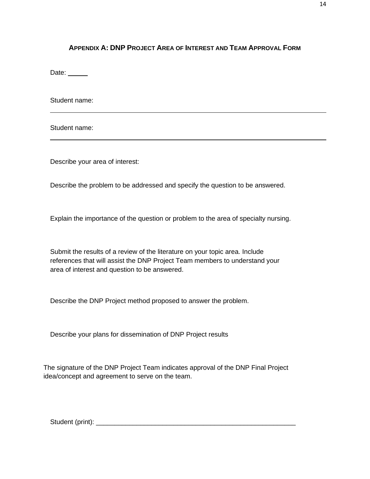## <span id="page-13-0"></span>**APPENDIX A: DNP PROJECT AREA OF INTEREST AND TEAM APPROVAL FORM**

Date:  $\_\_$ 

Student name:

Student name:

Describe your area of interest:

Describe the problem to be addressed and specify the question to be answered.

Explain the importance of the question or problem to the area of specialty nursing.

Submit the results of a review of the literature on your topic area. Include references that will assist the DNP Project Team members to understand your area of interest and question to be answered.

Describe the DNP Project method proposed to answer the problem.

Describe your plans for dissemination of DNP Project results

The signature of the DNP Project Team indicates approval of the DNP Final Project idea/concept and agreement to serve on the team.

Student (print): \_\_\_\_\_\_\_\_\_\_\_\_\_\_\_\_\_\_\_\_\_\_\_\_\_\_\_\_\_\_\_\_\_\_\_\_\_\_\_\_\_\_\_\_\_\_\_\_\_\_\_\_\_\_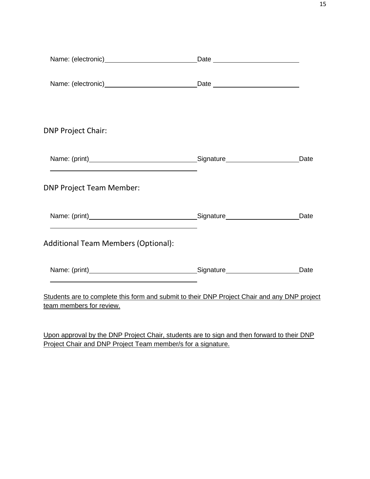| <b>DNP Project Chair:</b>                                                                                                                                                                                                     |      |
|-------------------------------------------------------------------------------------------------------------------------------------------------------------------------------------------------------------------------------|------|
| the control of the control of the control of the control of the control of the control of the control of the control of the control of the control of the control of the control of the control of the control of the control | Date |
| <b>DNP Project Team Member:</b>                                                                                                                                                                                               |      |
|                                                                                                                                                                                                                               | Date |
| <b>Additional Team Members (Optional):</b>                                                                                                                                                                                    |      |
|                                                                                                                                                                                                                               | Date |
| Students are to complete this form and submit to their DNP Project Chair and any DNP project<br>team members for review.                                                                                                      |      |

Upon approval by the DNP Project Chair, students are to sign and then forward to their DNP Project Chair and DNP Project Team member/s for a signature.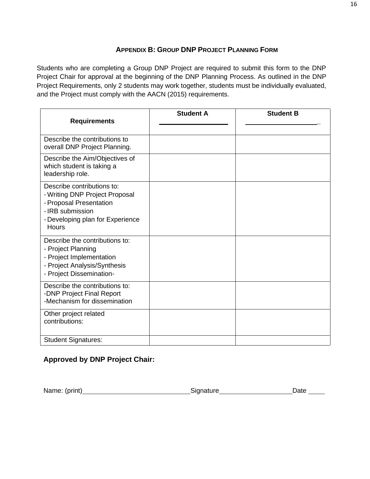## **APPENDIX B: GROUP DNP PROJECT PLANNING FORM**

<span id="page-15-0"></span>Students who are completing a Group DNP Project are required to submit this form to the DNP Project Chair for approval at the beginning of the DNP Planning Process. As outlined in the DNP Project Requirements, only 2 students may work together, students must be individually evaluated, and the Project must comply with the AACN (2015) requirements.

| <b>Requirements</b>                                                                                                                                      | <b>Student A</b> | <b>Student B</b> |
|----------------------------------------------------------------------------------------------------------------------------------------------------------|------------------|------------------|
| Describe the contributions to<br>overall DNP Project Planning.                                                                                           |                  |                  |
| Describe the Aim/Objectives of<br>which student is taking a<br>leadership role.                                                                          |                  |                  |
| Describe contributions to:<br>- Writing DNP Project Proposal<br>- Proposal Presentation<br>- IRB submission<br>- Developing plan for Experience<br>Hours |                  |                  |
| Describe the contributions to:<br>- Project Planning<br>- Project Implementation<br>- Project Analysis/Synthesis<br>- Project Dissemination-             |                  |                  |
| Describe the contributions to:<br>-DNP Project Final Report<br>-Mechanism for dissemination                                                              |                  |                  |
| Other project related<br>contributions:                                                                                                                  |                  |                  |
| <b>Student Signatures:</b>                                                                                                                               |                  |                  |

## **Approved by DNP Project Chair:**

Name: (print) Signature Date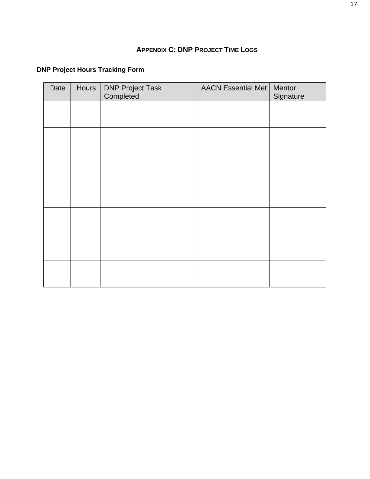## **APPENDIX C: DNP PROJECT TIME LOGS**

# <span id="page-16-0"></span>**DNP Project Hours Tracking Form**

| Date | Hours | <b>DNP Project Task</b><br>Completed | <b>AACN Essential Met</b> | Mentor<br>Signature |
|------|-------|--------------------------------------|---------------------------|---------------------|
|      |       |                                      |                           |                     |
|      |       |                                      |                           |                     |
|      |       |                                      |                           |                     |
|      |       |                                      |                           |                     |
|      |       |                                      |                           |                     |
|      |       |                                      |                           |                     |
|      |       |                                      |                           |                     |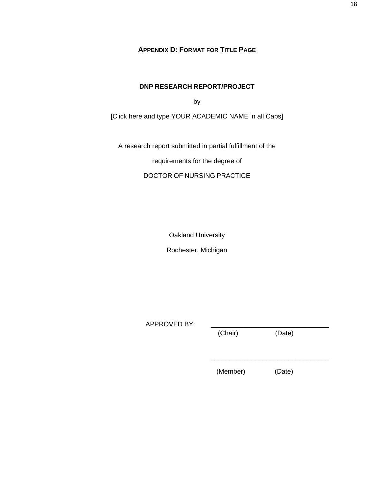**APPENDIX D: FORMAT FOR TITLE PAGE**

#### **DNP RESEARCH REPORT/PROJECT**

by

<span id="page-17-0"></span>[Click here and type YOUR ACADEMIC NAME in all Caps]

A research report submitted in partial fulfillment of the

requirements for the degree of

DOCTOR OF NURSING PRACTICE

Oakland University

Rochester, Michigan

APPROVED BY:

(Chair) (Date)

\_\_\_\_\_\_\_\_\_\_\_\_\_\_\_\_\_\_\_\_\_\_\_\_\_\_\_\_\_\_\_\_

(Member) (Date)

18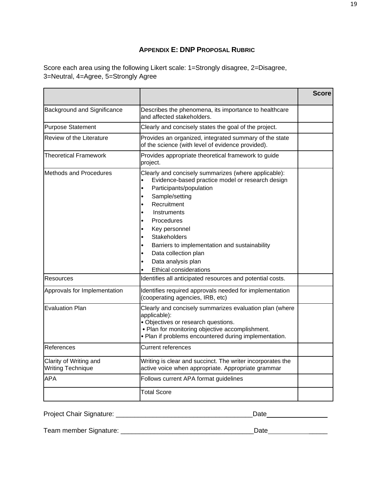## **APPENDIX E: DNP PROPOSAL RUBRIC**

<span id="page-18-0"></span>Score each area using the following Likert scale: 1=Strongly disagree, 2=Disagree, 3=Neutral, 4=Agree, 5=Strongly Agree

|                                                    |                                                                                                                                                                                                                                                                                                                                                                           | <b>Score</b> |
|----------------------------------------------------|---------------------------------------------------------------------------------------------------------------------------------------------------------------------------------------------------------------------------------------------------------------------------------------------------------------------------------------------------------------------------|--------------|
| <b>Background and Significance</b>                 | Describes the phenomena, its importance to healthcare<br>and affected stakeholders.                                                                                                                                                                                                                                                                                       |              |
| <b>Purpose Statement</b>                           | Clearly and concisely states the goal of the project.                                                                                                                                                                                                                                                                                                                     |              |
| Review of the Literature                           | Provides an organized, integrated summary of the state<br>of the science (with level of evidence provided).                                                                                                                                                                                                                                                               |              |
| <b>Theoretical Framework</b>                       | Provides appropriate theoretical framework to guide<br>project.                                                                                                                                                                                                                                                                                                           |              |
| Methods and Procedures                             | Clearly and concisely summarizes (where applicable):<br>Evidence-based practice model or research design<br>Participants/population<br>Sample/setting<br>Recruitment<br>Instruments<br>Procedures<br>Key personnel<br><b>Stakeholders</b><br>Barriers to implementation and sustainability<br>Data collection plan<br>Data analysis plan<br><b>Ethical considerations</b> |              |
| Resources                                          | Identifies all anticipated resources and potential costs.                                                                                                                                                                                                                                                                                                                 |              |
| Approvals for Implementation                       | Identifies required approvals needed for implementation<br>(cooperating agencies, IRB, etc)                                                                                                                                                                                                                                                                               |              |
| <b>Evaluation Plan</b>                             | Clearly and concisely summarizes evaluation plan (where<br>applicable):<br>• Objectives or research questions.<br>• Plan for monitoring objective accomplishment.<br>• Plan if problems encountered during implementation.                                                                                                                                                |              |
| References                                         | <b>Current references</b>                                                                                                                                                                                                                                                                                                                                                 |              |
| Clarity of Writing and<br><b>Writing Technique</b> | Writing is clear and succinct. The writer incorporates the<br>active voice when appropriate. Appropriate grammar                                                                                                                                                                                                                                                          |              |
| <b>APA</b>                                         | Follows current APA format guidelines                                                                                                                                                                                                                                                                                                                                     |              |
|                                                    | <b>Total Score</b>                                                                                                                                                                                                                                                                                                                                                        |              |

Project Chair Signature: \_\_\_\_\_\_\_\_\_\_\_\_\_\_\_\_\_\_\_\_\_\_\_\_\_\_\_\_\_\_\_\_\_\_\_\_\_Date

Team member Signature: \_\_\_\_\_\_\_\_\_\_\_\_\_\_\_\_\_\_\_\_\_\_\_\_\_\_\_\_\_\_\_\_\_\_\_\_Date \_\_\_\_\_

19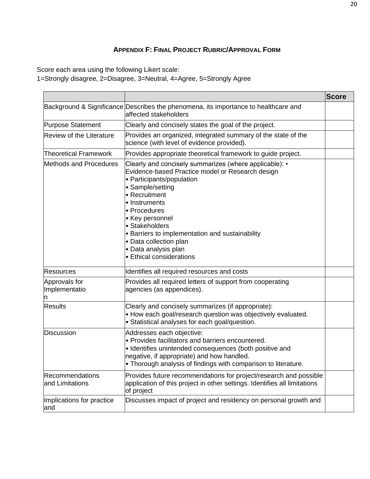# **APPENDIX F: FINAL PROJECT RUBRIC/APPROVAL FORM**

<span id="page-19-0"></span>Score each area using the following Likert scale:

1=Strongly disagree, 2=Disagree, 3=Neutral, 4=Agree, 5=Strongly Agree

|                                    |                                                                                                                                                                                                                                                                                                                                                                                     | <b>Score</b> |
|------------------------------------|-------------------------------------------------------------------------------------------------------------------------------------------------------------------------------------------------------------------------------------------------------------------------------------------------------------------------------------------------------------------------------------|--------------|
|                                    | Background & Significance Describes the phenomena, its importance to healthcare and<br>affected stakeholders                                                                                                                                                                                                                                                                        |              |
| <b>Purpose Statement</b>           | Clearly and concisely states the goal of the project.                                                                                                                                                                                                                                                                                                                               |              |
| <b>Review of the Literature</b>    | Provides an organized, integrated summary of the state of the<br>science (with level of evidence provided).                                                                                                                                                                                                                                                                         |              |
| <b>Theoretical Framework</b>       | Provides appropriate theoretical framework to guide project.                                                                                                                                                                                                                                                                                                                        |              |
| <b>Methods and Procedures</b>      | Clearly and concisely summarizes (where applicable): •<br>Evidence-based Practice model or Research design<br>• Participants/population<br>• Sample/setting<br>• Recruitment<br>• Instruments<br>• Procedures<br>• Key personnel<br>• Stakeholders<br>• Barriers to implementation and sustainability<br>• Data collection plan<br>• Data analysis plan<br>• Ethical considerations |              |
| <b>Resources</b>                   | Identifies all required resources and costs                                                                                                                                                                                                                                                                                                                                         |              |
| Approvals for<br>Implementatio     | Provides all required letters of support from cooperating<br>agencies (as appendices).                                                                                                                                                                                                                                                                                              |              |
| <b>Results</b>                     | Clearly and concisely summarizes (if appropriate):<br>• How each goal/research question was objectively evaluated.<br>• Statistical analyses for each goal/question.                                                                                                                                                                                                                |              |
| <b>Discussion</b>                  | Addresses each objective:<br>• Provides facilitators and barriers encountered.<br>· Identifies unintended consequences (both positive and<br>negative, if appropriate) and how handled.<br>• Thorough analysis of findings with comparison to literature.                                                                                                                           |              |
| Recommendations<br>and Limitations | Provides future recommendations for project/research and possible<br>application of this project in other settings. Identifies all limitations<br>of project                                                                                                                                                                                                                        |              |
| Implications for practice<br>and   | Discusses impact of project and residency on personal growth and                                                                                                                                                                                                                                                                                                                    |              |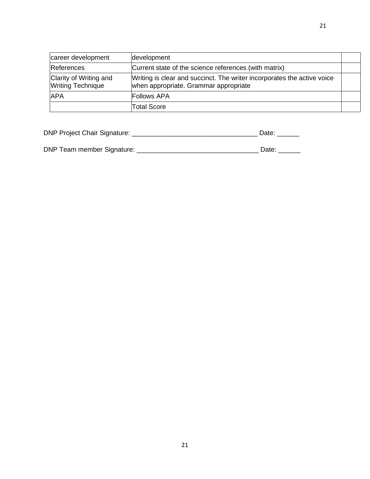| career development                                 | development                                                                                                      |  |
|----------------------------------------------------|------------------------------------------------------------------------------------------------------------------|--|
| <b>References</b>                                  | Current state of the science references (with matrix)                                                            |  |
| Clarity of Writing and<br><b>Writing Technique</b> | Writing is clear and succinct. The writer incorporates the active voice<br>when appropriate. Grammar appropriate |  |
| <b>APA</b>                                         | <b>Follows APA</b>                                                                                               |  |
|                                                    | <b>Total Score</b>                                                                                               |  |

| <b>DNP Project Chair Signature:</b> | Date: |  |
|-------------------------------------|-------|--|
|                                     |       |  |

DNP Team member Signature: \_\_\_\_\_\_\_\_\_\_\_\_\_\_\_\_\_\_\_\_\_\_\_\_\_\_\_\_\_\_\_\_\_ Date: \_\_\_\_\_\_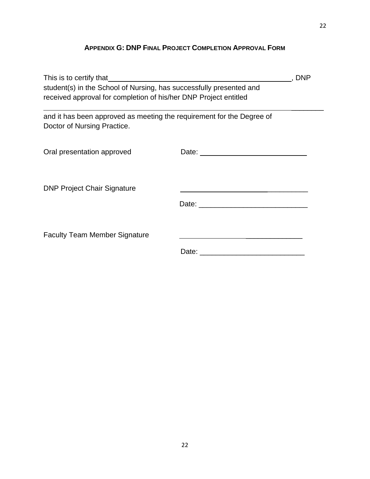# **APPENDIX G: DNP FINAL PROJECT COMPLETION APPROVAL FORM**

<span id="page-21-0"></span>

| This is to certify that                                                                                                                 |       | <b>DNP</b> |
|-----------------------------------------------------------------------------------------------------------------------------------------|-------|------------|
| student(s) in the School of Nursing, has successfully presented and<br>received approval for completion of his/her DNP Project entitled |       |            |
| and it has been approved as meeting the requirement for the Degree of<br>Doctor of Nursing Practice.                                    |       |            |
| Oral presentation approved                                                                                                              |       |            |
| <b>DNP Project Chair Signature</b>                                                                                                      |       |            |
| <b>Faculty Team Member Signature</b>                                                                                                    | Date: |            |